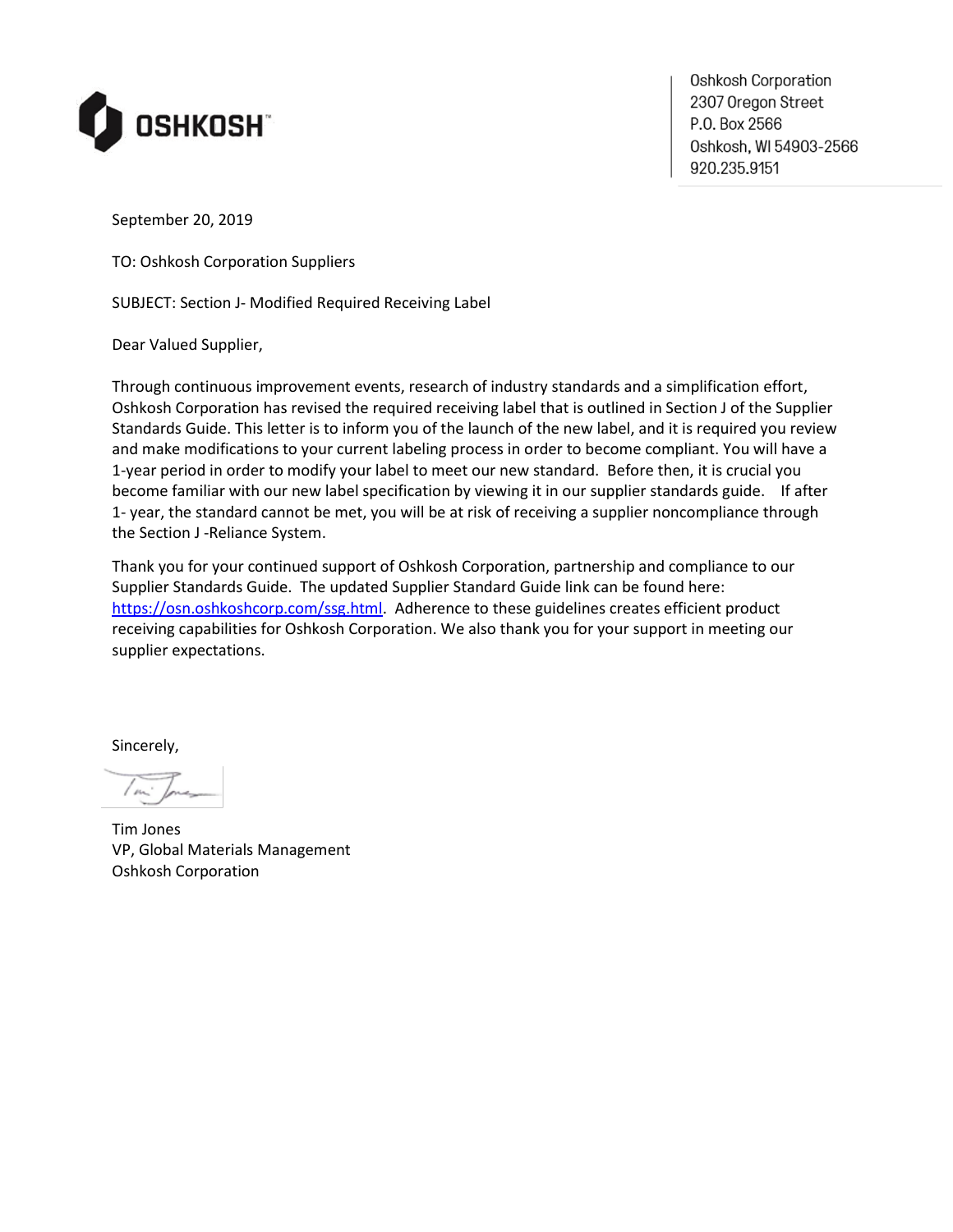

Oshkosh Corporation 2307 Oregon Street P.O. Box 2566 0shkosh, WI 54903-2566 920.235.9151

September 20, 2019

TO: Oshkosh Corporation Suppliers

SUBJECT: Section J- Modified Required Receiving Label

Dear Valued Supplier,

Through continuous improvement events, research of industry standards and a simplification effort, Oshkosh Corporation has revised the required receiving label that is outlined in Section J of the Supplier Standards Guide. This letter is to inform you of the launch of the new label, and it is required you review and make modifications to your current labeling process in order to become compliant. You will have a 1-year period in order to modify your label to meet our new standard. Before then, it is crucial you become familiar with our new label specification by viewing it in our supplier standards guide. If after 1- year, the standard cannot be met, you will be at risk of receiving a supplier noncompliance through the Section J -Reliance System.

Thank you for your continued support of Oshkosh Corporation, partnership and compliance to our Supplier Standards Guide. The updated Supplier Standard Guide link can be found here: [https://osn.oshkoshcorp.com/ssg.html.](https://osn.oshkoshcorp.com/ssg.html) Adherence to these guidelines creates efficient product receiving capabilities for Oshkosh Corporation. We also thank you for your support in meeting our supplier expectations.

Sincerely,

Tim Jones VP, Global Materials Management Oshkosh Corporation